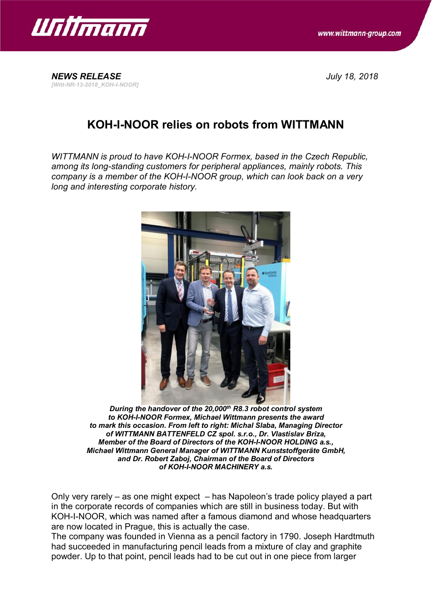

*[Witt-NR-13-2018\_KOH-I-NOOR]*

*NEWS RELEASE July 18, 2018*

## **KOH-I-NOOR relies on robots from WITTMANN**

*WITTMANN is proud to have KOH-I-NOOR Formex, based in the Czech Republic, among its long-standing customers for peripheral appliances, mainly robots. This company is a member of the KOH-I-NOOR group, which can look back on a very long and interesting corporate history.*



*During the handover of the 20,000th R8.3 robot control system to KOH-I-NOOR Formex, Michael Wittmann presents the award to mark this occasion. From left to right: Michal Slaba, Managing Director of WITTMANN BATTENFELD CZ spol. s.r.o., Dr. Vlastislav Briza, Member of the Board of Directors of the KOH-I-NOOR HOLDING a.s., Michael Wittmann General Manager of WITTMANN Kunststoffgeräte GmbH, and Dr. Robert Zaboj, Chairman of the Board of Directors of KOH-I-NOOR MACHINERY a.s.*

Only very rarely – as one might expect – has Napoleon's trade policy played a part in the corporate records of companies which are still in business today. But with KOH-I-NOOR, which was named after a famous diamond and whose headquarters are now located in Prague, this is actually the case.

The company was founded in Vienna as a pencil factory in 1790. Joseph Hardtmuth had succeeded in manufacturing pencil leads from a mixture of clay and graphite powder. Up to that point, pencil leads had to be cut out in one piece from larger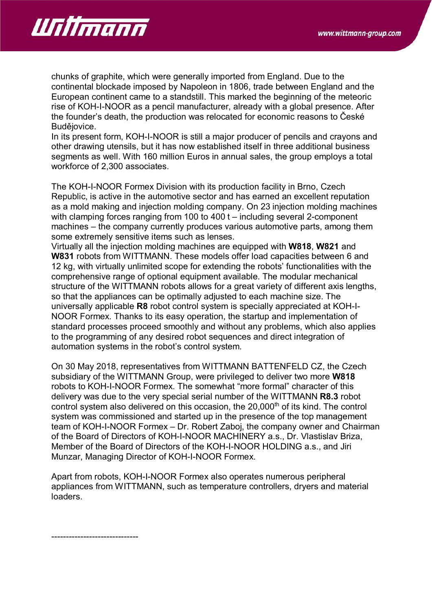

chunks of graphite, which were generally imported from England. Due to the continental blockade imposed by Napoleon in 1806, trade between England and the European continent came to a standstill. This marked the beginning of the meteoric rise of KOH-I-NOOR as a pencil manufacturer, already with a global presence. After the founder's death, the production was relocated for economic reasons to České Budějovice.

In its present form, KOH-I-NOOR is still a major producer of pencils and crayons and other drawing utensils, but it has now established itself in three additional business segments as well. With 160 million Euros in annual sales, the group employs a total workforce of 2,300 associates.

The KOH-I-NOOR Formex Division with its production facility in Brno, Czech Republic, is active in the automotive sector and has earned an excellent reputation as a mold making and injection molding company. On 23 injection molding machines with clamping forces ranging from 100 to 400 t – including several 2-component machines – the company currently produces various automotive parts, among them some extremely sensitive items such as lenses.

Virtually all the injection molding machines are equipped with **W818**, **W821** and **W831** robots from WITTMANN. These models offer load capacities between 6 and 12 kg, with virtually unlimited scope for extending the robots' functionalities with the comprehensive range of optional equipment available. The modular mechanical structure of the WITTMANN robots allows for a great variety of different axis lengths, so that the appliances can be optimally adjusted to each machine size. The universally applicable **R8** robot control system is specially appreciated at KOH-I-NOOR Formex. Thanks to its easy operation, the startup and implementation of standard processes proceed smoothly and without any problems, which also applies to the programming of any desired robot sequences and direct integration of automation systems in the robot's control system.

On 30 May 2018, representatives from WITTMANN BATTENFELD CZ, the Czech subsidiary of the WITTMANN Group, were privileged to deliver two more **W818** robots to KOH-I-NOOR Formex. The somewhat "more formal" character of this delivery was due to the very special serial number of the WITTMANN **R8.3** robot control system also delivered on this occasion, the 20,000<sup>th</sup> of its kind. The control system was commissioned and started up in the presence of the top management team of KOH-I-NOOR Formex – Dr. Robert Zaboj, the company owner and Chairman of the Board of Directors of KOH-I-NOOR MACHINERY a.s., Dr. Vlastislav Briza, Member of the Board of Directors of the KOH-I-NOOR HOLDING a.s., and Jiri Munzar, Managing Director of KOH-I-NOOR Formex.

Apart from robots, KOH-I-NOOR Formex also operates numerous peripheral appliances from WITTMANN, such as temperature controllers, dryers and material loaders.

------------------------------